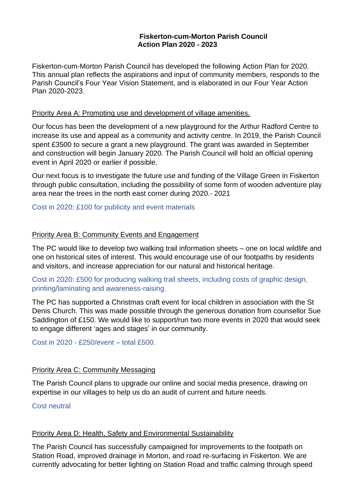### **Fiskerton-cum-Morton Parish Council Action Plan 2020 - 2023**

Fiskerton-cum-Morton Parish Council has developed the following Action Plan for 2020. This annual plan reflects the aspirations and input of community members, responds to the Parish Council's Four Year Vision Statement, and is elaborated in our Four Year Action Plan 2020-2023.

#### Priority Area A: Promoting use and development of village amenities.

Our focus has been the development of a new playground for the Arthur Radford Centre to increase its use and appeal as a community and activity centre. In 2019, the Parish Council spent £3500 to secure a grant a new playground. The grant was awarded in September and construction will begin January 2020. The Parish Council will hold an official opening event in April 2020 or earlier if possible.

Our next focus is to investigate the future use and funding of the Village Green in Fiskerton through public consultation, including the possibility of some form of wooden adventure play area near the trees in the north east corner during 2020.- 2021

### Cost in 2020: £100 for publicity and event materials

## Priority Area B: Community Events and Engagement

The PC would like to develop two walking trail information sheets – one on local wildlife and one on historical sites of interest. This would encourage use of our footpaths by residents and visitors, and increase appreciation for our natural and historical heritage.

# Cost in 2020: £500 for producing walking trail sheets, including costs of graphic design, printing/laminating and awareness-raising.

The PC has supported a Christmas craft event for local children in association with the St Denis Church. This was made possible through the generous donation from counsellor Sue Saddington of £150. We would like to support/run two more events in 2020 that would seek to engage different 'ages and stages' in our community.

Cost in 2020 - £250/event – total £500.

### Priority Area C: Community Messaging

The Parish Council plans to upgrade our online and social media presence, drawing on expertise in our villages to help us do an audit of current and future needs.

### Cost neutral

### Priority Area D: Health, Safety and Environmental Sustainability

The Parish Council has successfully campaigned for improvements to the footpath on Station Road, improved drainage in Morton, and road re-surfacing in Fiskerton. We are currently advocating for better lighting on Station Road and traffic calming through speed